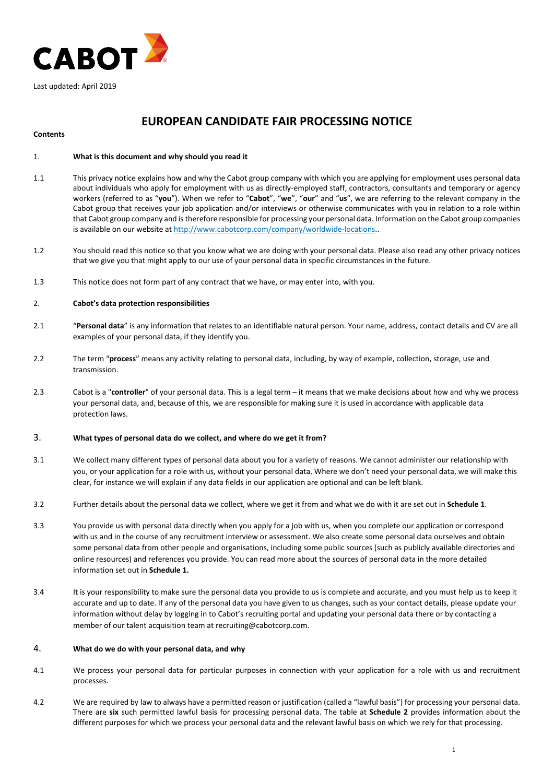

# **EUROPEAN CANDIDATE FAIR PROCESSING NOTICE**

## **Contents**

# 1. **What is this document and why should you read it**

- 1.1 This privacy notice explains how and why the Cabot group company with which you are applying for employment uses personal data about individuals who apply for employment with us as directly-employed staff, contractors, consultants and temporary or agency workers (referred to as "**you**"). When we refer to "**Cabot**", "**we**", "**our**" and "**us**", we are referring to the relevant company in the Cabot group that receives your job application and/or interviews or otherwise communicates with you in relation to a role within that Cabot group company and is therefore responsible for processing your personal data. Information on the Cabot group companies is available on our website at [http://www.cabotcorp.com/company/worldwide-locations..](http://www.cabotcorp.com/company/worldwide-locations)
- 1.2 You should read this notice so that you know what we are doing with your personal data. Please also read any other privacy notices that we give you that might apply to our use of your personal data in specific circumstances in the future.
- 1.3 This notice does not form part of any contract that we have, or may enter into, with you.

## 2. **Cabot's data protection responsibilities**

- 2.1 "**Personal data**" is any information that relates to an identifiable natural person. Your name, address, contact details and CV are all examples of your personal data, if they identify you.
- 2.2 The term "**process**" means any activity relating to personal data, including, by way of example, collection, storage, use and transmission.
- 2.3 Cabot is a "**controller**" of your personal data. This is a legal term it means that we make decisions about how and why we process your personal data, and, because of this, we are responsible for making sure it is used in accordance with applicable data protection laws.

## 3. **What types of personal data do we collect, and where do we get it from?**

- 3.1 We collect many different types of personal data about you for a variety of reasons. We cannot administer our relationship with you, or your application for a role with us, without your personal data. Where we don't need your personal data, we will make this clear, for instance we will explain if any data fields in our application are optional and can be left blank.
- 3.2 Further details about the personal data we collect, where we get it from and what we do with it are set out in **Schedule 1**.
- 3.3 You provide us with personal data directly when you apply for a job with us, when you complete our application or correspond with us and in the course of any recruitment interview or assessment. We also create some personal data ourselves and obtain some personal data from other people and organisations, including some public sources (such as publicly available directories and online resources) and references you provide. You can read more about the sources of personal data in the more detailed information set out in **Schedule 1.**
- 3.4 It is your responsibility to make sure the personal data you provide to us is complete and accurate, and you must help us to keep it accurate and up to date. If any of the personal data you have given to us changes, such as your contact details, please update your information without delay by logging in to Cabot's recruiting portal and updating your personal data there or by contacting a member of our talent acquisition team at recruiting@cabotcorp.com.

## 4. **What do we do with your personal data, and why**

- 4.1 We process your personal data for particular purposes in connection with your application for a role with us and recruitment processes.
- 4.2 We are required by law to always have a permitted reason or justification (called a "lawful basis") for processing your personal data. There are **six** such permitted lawful basis for processing personal data. The table at **Schedule 2** provides information about the different purposes for which we process your personal data and the relevant lawful basis on which we rely for that processing.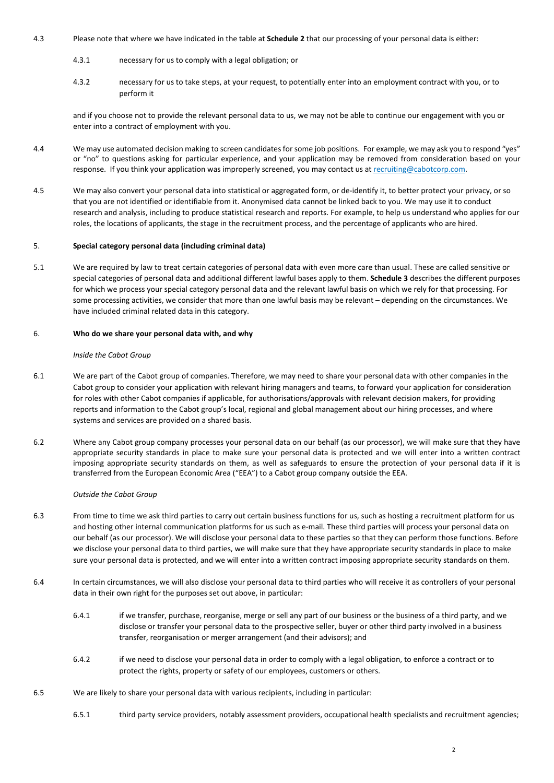- 4.3 Please note that where we have indicated in the table at **Schedule 2** that our processing of your personal data is either:
	- 4.3.1 necessary for us to comply with a legal obligation; or
	- 4.3.2 necessary for us to take steps, at your request, to potentially enter into an employment contract with you, or to perform it

and if you choose not to provide the relevant personal data to us, we may not be able to continue our engagement with you or enter into a contract of employment with you.

- 4.4 We may use automated decision making to screen candidates for some job positions. For example, we may ask you to respond "yes" or "no" to questions asking for particular experience, and your application may be removed from consideration based on your response. If you think your application was improperly screened, you may contact us a[t recruiting@cabotcorp.com.](mailto:recuriting@cabotcorp.com)
- 4.5 We may also convert your personal data into statistical or aggregated form, or de-identify it, to better protect your privacy, or so that you are not identified or identifiable from it. Anonymised data cannot be linked back to you. We may use it to conduct research and analysis, including to produce statistical research and reports. For example, to help us understand who applies for our roles, the locations of applicants, the stage in the recruitment process, and the percentage of applicants who are hired.

#### 5. **Special category personal data (including criminal data)**

5.1 We are required by law to treat certain categories of personal data with even more care than usual. These are called sensitive or special categories of personal data and additional different lawful bases apply to them. **Schedule 3** describes the different purposes for which we process your special category personal data and the relevant lawful basis on which we rely for that processing. For some processing activities, we consider that more than one lawful basis may be relevant – depending on the circumstances. We have included criminal related data in this category.

#### 6. **Who do we share your personal data with, and why**

#### *Inside the Cabot Group*

- 6.1 We are part of the Cabot group of companies. Therefore, we may need to share your personal data with other companies in the Cabot group to consider your application with relevant hiring managers and teams, to forward your application for consideration for roles with other Cabot companies if applicable, for authorisations/approvals with relevant decision makers, for providing reports and information to the Cabot group's local, regional and global management about our hiring processes, and where systems and services are provided on a shared basis.
- 6.2 Where any Cabot group company processes your personal data on our behalf (as our processor), we will make sure that they have appropriate security standards in place to make sure your personal data is protected and we will enter into a written contract imposing appropriate security standards on them, as well as safeguards to ensure the protection of your personal data if it is transferred from the European Economic Area ("EEA") to a Cabot group company outside the EEA.

#### *Outside the Cabot Group*

- 6.3 From time to time we ask third parties to carry out certain business functions for us, such as hosting a recruitment platform for us and hosting other internal communication platforms for us such as e-mail. These third parties will process your personal data on our behalf (as our processor). We will disclose your personal data to these parties so that they can perform those functions. Before we disclose your personal data to third parties, we will make sure that they have appropriate security standards in place to make sure your personal data is protected, and we will enter into a written contract imposing appropriate security standards on them.
- 6.4 In certain circumstances, we will also disclose your personal data to third parties who will receive it as controllers of your personal data in their own right for the purposes set out above, in particular:
	- 6.4.1 if we transfer, purchase, reorganise, merge or sell any part of our business or the business of a third party, and we disclose or transfer your personal data to the prospective seller, buyer or other third party involved in a business transfer, reorganisation or merger arrangement (and their advisors); and
	- 6.4.2 if we need to disclose your personal data in order to comply with a legal obligation, to enforce a contract or to protect the rights, property or safety of our employees, customers or others.
- 6.5 We are likely to share your personal data with various recipients, including in particular:
	- 6.5.1 third party service providers, notably assessment providers, occupational health specialists and recruitment agencies;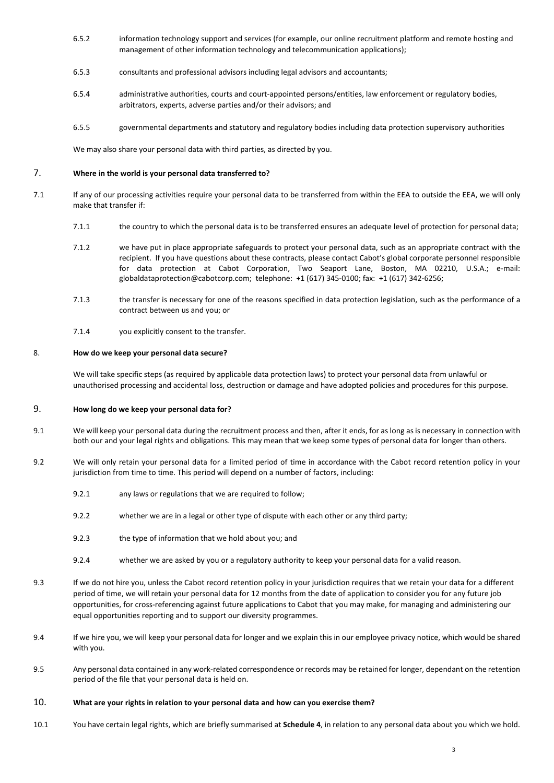- <span id="page-2-0"></span>6.5.2 information technology support and services (for example, our online recruitment platform and remote hosting and management of other information technology and telecommunication applications);
- 6.5.3 consultants and professional advisors including legal advisors and accountants;
- 6.5.4 administrative authorities, courts and court-appointed persons/entities, law enforcement or regulatory bodies, arbitrators, experts, adverse parties and/or their advisors; and
- 6.5.5 governmental departments and statutory and regulatory bodies including data protection supervisory authorities

We may also share your personal data with third parties, as directed by you.

# 7. **Where in the world is your personal data transferred to?**

- 7.1 If any of our processing activities require your personal data to be transferred from within the EEA to outside the EEA, we will only make that transfer if:
	- 7.1.1 the country to which the personal data is to be transferred ensures an adequate level of protection for personal data;
	- 7.1.2 we have put in place appropriate safeguards to protect your personal data, such as an appropriate contract with the recipient. If you have questions about these contracts, please contact Cabot's global corporate personnel responsible for data protection at Cabot Corporation, Two Seaport Lane, Boston, MA 02210, U.S.A.; e-mail: globaldataprotection@cabotcorp.com; telephone: +1 (617) 345-0100; fax: +1 (617) 342-6256;
	- 7.1.3 the transfer is necessary for one of the reasons specified in data protection legislation, such as the performance of a contract between us and you; or
	- 7.1.4 you explicitly consent to the transfer.

## 8. **How do we keep your personal data secure?**

We will take specific steps (as required by applicable data protection laws) to protect your personal data from unlawful or unauthorised processing and accidental loss, destruction or damage and have adopted policies and procedures for this purpose.

## 9. **How long do we keep your personal data for?**

- 9.1 We will keep your personal data during the recruitment process and then, after it ends, for as long as is necessary in connection with both our and your legal rights and obligations. This may mean that we keep some types of personal data for longer than others.
- 9.2 We will only retain your personal data for a limited period of time in accordance with the Cabot record retention policy in your jurisdiction from time to time. This period will depend on a number of factors, including:
	- 9.2.1 any laws or regulations that we are required to follow;
	- 9.2.2 whether we are in a legal or other type of dispute with each other or any third party;
	- 9.2.3 the type of information that we hold about you; and
	- 9.2.4 whether we are asked by you or a regulatory authority to keep your personal data for a valid reason.
- 9.3 If we do not hire you, unless the Cabot record retention policy in your jurisdiction requires that we retain your data for a different period of time, we will retain your personal data for 12 months from the date of application to consider you for any future job opportunities, for cross-referencing against future applications to Cabot that you may make, for managing and administering our equal opportunities reporting and to support our diversity programmes.
- 9.4 If we hire you, we will keep your personal data for longer and we explain this in our employee privacy notice, which would be shared with you.
- 9.5 Any personal data contained in any work-related correspondence or records may be retained for longer, dependant on the retention period of the file that your personal data is held on.
- 10. **What are your rights in relation to your personal data and how can you exercise them?**
- 10.1 You have certain legal rights, which are briefly summarised at **Schedule 4**, in relation to any personal data about you which we hold.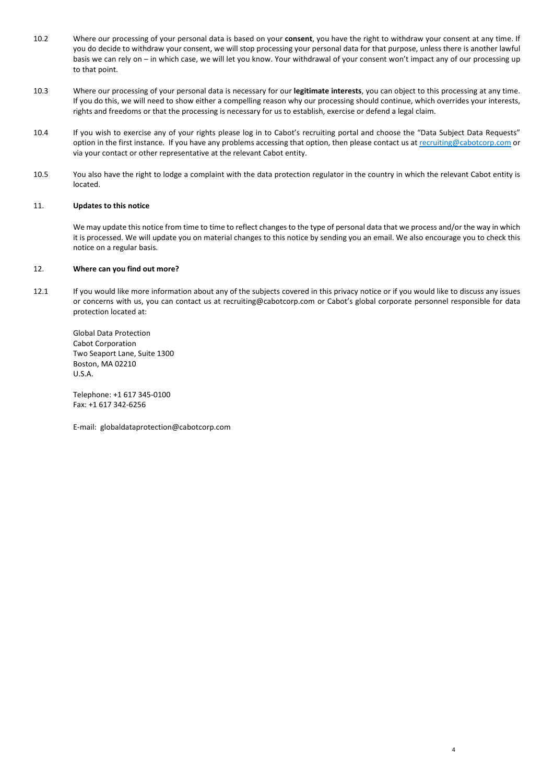- 10.2 Where our processing of your personal data is based on your **consent**, you have the right to withdraw your consent at any time. If you do decide to withdraw your consent, we will stop processing your personal data for that purpose, unless there is another lawful basis we can rely on – in which case, we will let you know. Your withdrawal of your consent won't impact any of our processing up to that point.
- 10.3 Where our processing of your personal data is necessary for our **legitimate interests**, you can object to this processing at any time. If you do this, we will need to show either a compelling reason why our processing should continue, which overrides your interests, rights and freedoms or that the processing is necessary for us to establish, exercise or defend a legal claim.
- 10.4 If you wish to exercise any of your rights please log in to Cabot's recruiting portal and choose the "Data Subject Data Requests" option in the first instance. If you have any problems accessing that option, then please contact us at [recruiting@cabotcorp.com](mailto:recruiting@cabotcorp.com) or via your contact or other representative at the relevant Cabot entity.
- 10.5 You also have the right to lodge a complaint with the data protection regulator in the country in which the relevant Cabot entity is located.

## 11. **Updates to this notice**

We may update this notice from time to time to reflect changes to the type of personal data that we process and/or the way in which it is processed. We will update you on material changes to this notice by sending you an email. We also encourage you to check this notice on a regular basis.

4

#### 12. **Where can you find out more?**

12.1 If you would like more information about any of the subjects covered in this privacy notice or if you would like to discuss any issues or concerns with us, you can contact us at recruiting@cabotcorp.com or Cabot's global corporate personnel responsible for data protection located at:

Global Data Protection Cabot Corporation Two Seaport Lane, Suite 1300 Boston, MA 02210 U.S.A.

Telephone: +1 617 345-0100 Fax: +1 617 342-6256

E-mail: globaldataprotection@cabotcorp.com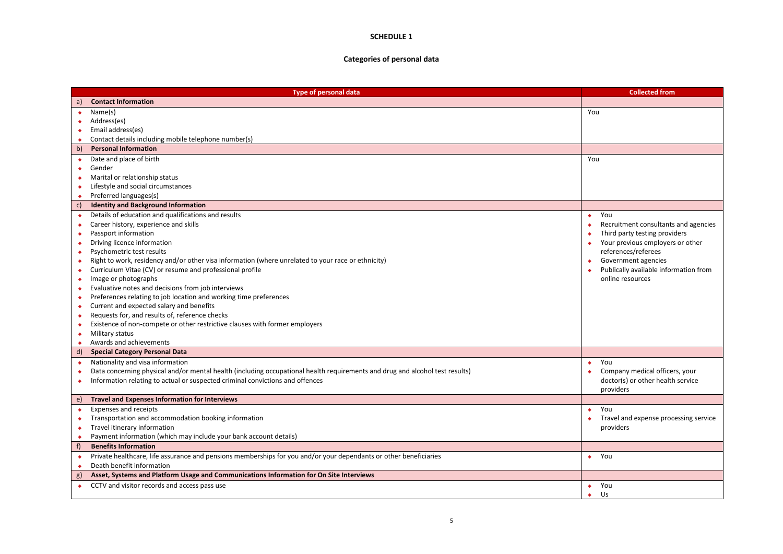# **SCHEDULE 1**

# **Categories of personal data**

|           | <b>Type of personal data</b>                                                                                                 | <b>Collected from</b>                 |  |  |
|-----------|------------------------------------------------------------------------------------------------------------------------------|---------------------------------------|--|--|
| a)        | <b>Contact Information</b>                                                                                                   |                                       |  |  |
| ٠         | Name(s)                                                                                                                      | You                                   |  |  |
| ٠         | Address(es)                                                                                                                  |                                       |  |  |
| ٠         | Email address(es)                                                                                                            |                                       |  |  |
| ٠         | Contact details including mobile telephone number(s)                                                                         |                                       |  |  |
| b)        | <b>Personal Information</b>                                                                                                  |                                       |  |  |
| ٠         | Date and place of birth                                                                                                      | You                                   |  |  |
| ٠         | Gender                                                                                                                       |                                       |  |  |
| ٠         | Marital or relationship status                                                                                               |                                       |  |  |
| ٠         | Lifestyle and social circumstances                                                                                           |                                       |  |  |
| ٠         | Preferred languages(s)                                                                                                       |                                       |  |  |
| c)        | <b>Identity and Background Information</b>                                                                                   |                                       |  |  |
| $\bullet$ | Details of education and qualifications and results                                                                          | You<br>$\bullet$                      |  |  |
| ٠         | Career history, experience and skills                                                                                        | Recruitment consultants and agencies  |  |  |
| $\bullet$ | Passport information                                                                                                         | Third party testing providers         |  |  |
| ٠         | Driving licence information                                                                                                  | Your previous employers or other      |  |  |
| ۰         | Psychometric test results                                                                                                    | references/referees                   |  |  |
| ٠         | Right to work, residency and/or other visa information (where unrelated to your race or ethnicity)                           | Government agencies                   |  |  |
| ٠         | Curriculum Vitae (CV) or resume and professional profile                                                                     | Publically available information from |  |  |
| ۰         | Image or photographs                                                                                                         | online resources                      |  |  |
| $\bullet$ | Evaluative notes and decisions from job interviews                                                                           |                                       |  |  |
| ٠         | Preferences relating to job location and working time preferences                                                            |                                       |  |  |
| ۰         | Current and expected salary and benefits                                                                                     |                                       |  |  |
| ٠         | Requests for, and results of, reference checks                                                                               |                                       |  |  |
| ٠         | Existence of non-compete or other restrictive clauses with former employers                                                  |                                       |  |  |
| ٠         | Military status<br>Awards and achievements                                                                                   |                                       |  |  |
| ٠<br>d)   | <b>Special Category Personal Data</b>                                                                                        |                                       |  |  |
|           | Nationality and visa information                                                                                             | You                                   |  |  |
| $\bullet$ | Data concerning physical and/or mental health (including occupational health requirements and drug and alcohol test results) | ٠<br>Company medical officers, your   |  |  |
| ٠         | Information relating to actual or suspected criminal convictions and offences                                                | doctor(s) or other health service     |  |  |
| ٠         |                                                                                                                              | providers                             |  |  |
| e)        | <b>Travel and Expenses Information for Interviews</b>                                                                        |                                       |  |  |
| $\bullet$ | Expenses and receipts                                                                                                        | You<br>٠                              |  |  |
| ٠         | Transportation and accommodation booking information                                                                         | Travel and expense processing service |  |  |
| ٠         | Travel itinerary information                                                                                                 | providers                             |  |  |
| ٠         | Payment information (which may include your bank account details)                                                            |                                       |  |  |
| f         | <b>Benefits Information</b>                                                                                                  |                                       |  |  |
| $\bullet$ | Private healthcare, life assurance and pensions memberships for you and/or your dependants or other beneficiaries            | $\bullet$ You                         |  |  |
| ٠         | Death benefit information                                                                                                    |                                       |  |  |
| g)        | Asset, Systems and Platform Usage and Communications Information for On Site Interviews                                      |                                       |  |  |
| $\bullet$ | CCTV and visitor records and access pass use                                                                                 | You<br>٠                              |  |  |
|           |                                                                                                                              | Us<br>٠                               |  |  |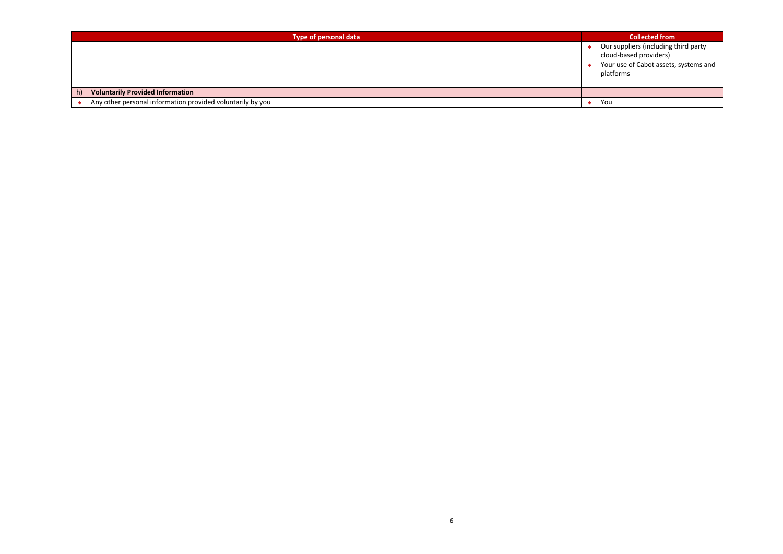| Type of personal data                                      | <b>Collected from</b>                                                                                                |  |  |
|------------------------------------------------------------|----------------------------------------------------------------------------------------------------------------------|--|--|
|                                                            | Our suppliers (including third party<br>cloud-based providers)<br>Your use of Cabot assets, systems and<br>platforms |  |  |
| <b>Voluntarily Provided Information</b><br>h)              |                                                                                                                      |  |  |
| Any other personal information provided voluntarily by you | You                                                                                                                  |  |  |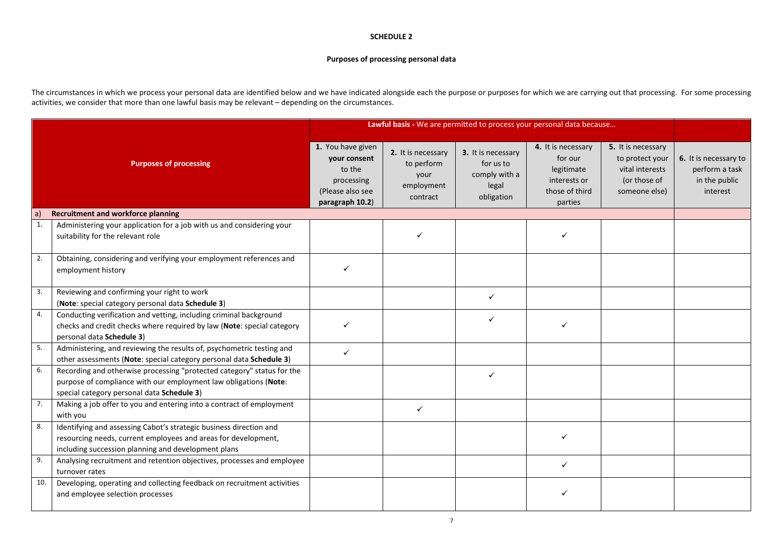#### **SCHEDULE 2**

## **Purposes of processing personal data**

The circumstances in which we process your personal data are identified below and we have indicated alongside each the purpose or purposes for which we are carrying out that processing. For some processing activities, we consider that more than one lawful basis may be relevant – depending on the circumstances.

|     |                                                                                                                                                                                             | Lawful basis - We are permitted to process your personal data because                            |                                                                    |                                                                         |                                                                                          |                                                                                           |                                                                      |
|-----|---------------------------------------------------------------------------------------------------------------------------------------------------------------------------------------------|--------------------------------------------------------------------------------------------------|--------------------------------------------------------------------|-------------------------------------------------------------------------|------------------------------------------------------------------------------------------|-------------------------------------------------------------------------------------------|----------------------------------------------------------------------|
|     | <b>Purposes of processing</b>                                                                                                                                                               | 1. You have given<br>vour consent<br>to the<br>processing<br>(Please also see<br>paragraph 10.2) | 2. It is necessary<br>to perform<br>your<br>employment<br>contract | 3. It is necessary<br>for us to<br>comply with a<br>legal<br>obligation | 4. It is necessary<br>for our<br>legitimate<br>interests or<br>those of third<br>parties | 5. It is necessary<br>to protect your<br>vital interests<br>(or those of<br>someone else) | 6. It is necessary to<br>perform a task<br>in the public<br>interest |
| a   | <b>Recruitment and workforce planning</b>                                                                                                                                                   |                                                                                                  |                                                                    |                                                                         |                                                                                          |                                                                                           |                                                                      |
| 1.  | Administering your application for a job with us and considering your<br>suitability for the relevant role                                                                                  |                                                                                                  | ✓                                                                  |                                                                         | ✓                                                                                        |                                                                                           |                                                                      |
| 2.  | Obtaining, considering and verifying your employment references and<br>employment history                                                                                                   | $\checkmark$                                                                                     |                                                                    |                                                                         |                                                                                          |                                                                                           |                                                                      |
| 3.  | Reviewing and confirming your right to work<br>(Note: special category personal data Schedule 3)                                                                                            |                                                                                                  |                                                                    | ✓                                                                       |                                                                                          |                                                                                           |                                                                      |
| 4.  | Conducting verification and vetting, including criminal background<br>checks and credit checks where required by law (Note: special category<br>personal data Schedule 3)                   |                                                                                                  |                                                                    | ✓                                                                       |                                                                                          |                                                                                           |                                                                      |
| 5.  | Administering, and reviewing the results of, psychometric testing and<br>other assessments (Note: special category personal data Schedule 3)                                                | $\checkmark$                                                                                     |                                                                    |                                                                         |                                                                                          |                                                                                           |                                                                      |
| 6.  | Recording and otherwise processing "protected category" status for the<br>purpose of compliance with our employment law obligations (Note:<br>special category personal data Schedule 3)    |                                                                                                  |                                                                    |                                                                         |                                                                                          |                                                                                           |                                                                      |
| 7.  | Making a job offer to you and entering into a contract of employment<br>with you                                                                                                            |                                                                                                  | ✓                                                                  |                                                                         |                                                                                          |                                                                                           |                                                                      |
| 8.  | Identifying and assessing Cabot's strategic business direction and<br>resourcing needs, current employees and areas for development,<br>including succession planning and development plans |                                                                                                  |                                                                    |                                                                         |                                                                                          |                                                                                           |                                                                      |
| 9.  | Analysing recruitment and retention objectives, processes and employee<br>turnover rates                                                                                                    |                                                                                                  |                                                                    |                                                                         | ✓                                                                                        |                                                                                           |                                                                      |
| 10. | Developing, operating and collecting feedback on recruitment activities<br>and employee selection processes                                                                                 |                                                                                                  |                                                                    |                                                                         |                                                                                          |                                                                                           |                                                                      |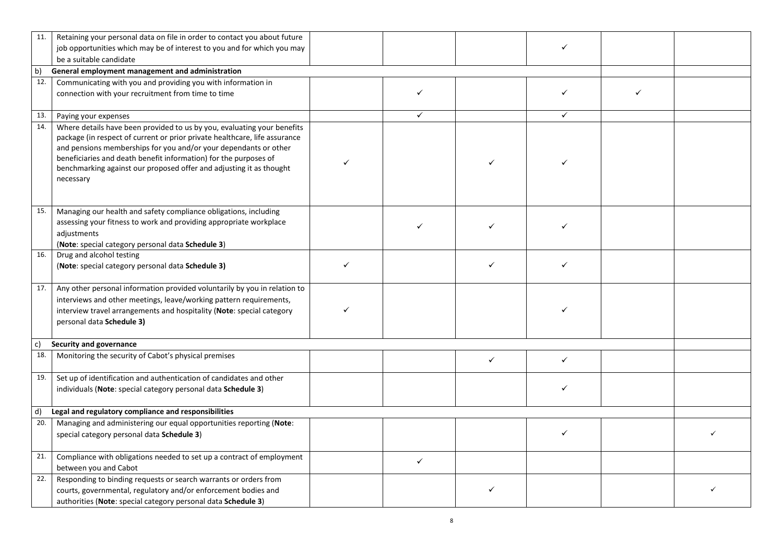| 11.            | Retaining your personal data on file in order to contact you about future<br>job opportunities which may be of interest to you and for which you may<br>be a suitable candidate                                                                                                                                                                                                   |   |              |              | ✓            |  |  |
|----------------|-----------------------------------------------------------------------------------------------------------------------------------------------------------------------------------------------------------------------------------------------------------------------------------------------------------------------------------------------------------------------------------|---|--------------|--------------|--------------|--|--|
| b)             | General employment management and administration                                                                                                                                                                                                                                                                                                                                  |   |              |              |              |  |  |
| 12.            | Communicating with you and providing you with information in<br>connection with your recruitment from time to time                                                                                                                                                                                                                                                                |   |              |              |              |  |  |
| 13.            | Paying your expenses                                                                                                                                                                                                                                                                                                                                                              |   | $\checkmark$ |              | ✓            |  |  |
| 14.            | Where details have been provided to us by you, evaluating your benefits<br>package (in respect of current or prior private healthcare, life assurance<br>and pensions memberships for you and/or your dependants or other<br>beneficiaries and death benefit information) for the purposes of<br>benchmarking against our proposed offer and adjusting it as thought<br>necessary | ✓ |              |              |              |  |  |
| 15.            | Managing our health and safety compliance obligations, including<br>assessing your fitness to work and providing appropriate workplace<br>adjustments<br>(Note: special category personal data Schedule 3)                                                                                                                                                                        |   |              |              |              |  |  |
| 16.            | Drug and alcohol testing<br>(Note: special category personal data Schedule 3)                                                                                                                                                                                                                                                                                                     | ✓ |              | ✓            | ✓            |  |  |
| 17.            | Any other personal information provided voluntarily by you in relation to<br>interviews and other meetings, leave/working pattern requirements,<br>interview travel arrangements and hospitality (Note: special category<br>personal data Schedule 3)                                                                                                                             |   |              |              |              |  |  |
| c)             | Security and governance                                                                                                                                                                                                                                                                                                                                                           |   |              |              |              |  |  |
| 18.            | Monitoring the security of Cabot's physical premises                                                                                                                                                                                                                                                                                                                              |   |              | $\checkmark$ | $\checkmark$ |  |  |
| 19.            | Set up of identification and authentication of candidates and other<br>individuals (Note: special category personal data Schedule 3)                                                                                                                                                                                                                                              |   |              |              | ✓            |  |  |
| $\mathsf{d}$ ) | Legal and regulatory compliance and responsibilities                                                                                                                                                                                                                                                                                                                              |   |              |              |              |  |  |
| 20.            | Managing and administering our equal opportunities reporting (Note:<br>special category personal data Schedule 3)                                                                                                                                                                                                                                                                 |   |              |              | $\checkmark$ |  |  |
| 21.            | Compliance with obligations needed to set up a contract of employment<br>between you and Cabot                                                                                                                                                                                                                                                                                    |   | $\checkmark$ |              |              |  |  |
| 22.            | Responding to binding requests or search warrants or orders from<br>courts, governmental, regulatory and/or enforcement bodies and<br>authorities (Note: special category personal data Schedule 3)                                                                                                                                                                               |   |              |              |              |  |  |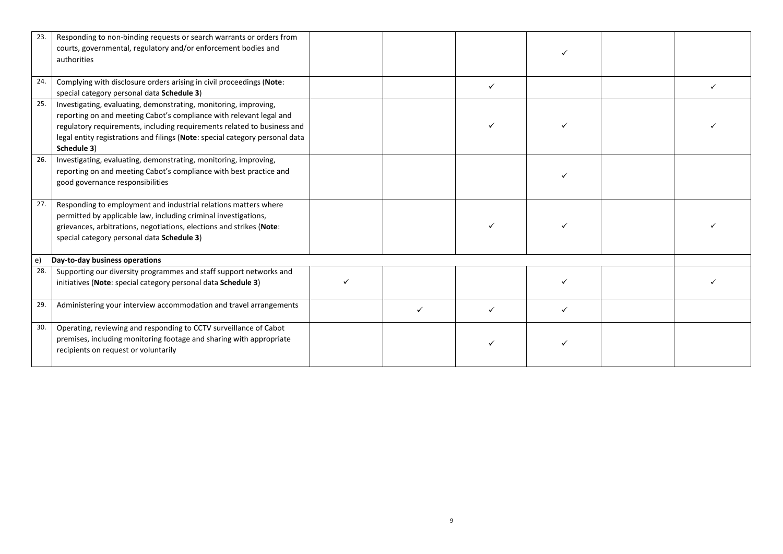| 23.                                          | Responding to non-binding requests or search warrants or orders from<br>courts, governmental, regulatory and/or enforcement bodies and<br>authorities                                                                                                                                                             |   |  |   |  |  |
|----------------------------------------------|-------------------------------------------------------------------------------------------------------------------------------------------------------------------------------------------------------------------------------------------------------------------------------------------------------------------|---|--|---|--|--|
| 24.                                          | Complying with disclosure orders arising in civil proceedings (Note:<br>special category personal data Schedule 3)                                                                                                                                                                                                |   |  | ✓ |  |  |
| 25.                                          | Investigating, evaluating, demonstrating, monitoring, improving,<br>reporting on and meeting Cabot's compliance with relevant legal and<br>regulatory requirements, including requirements related to business and<br>legal entity registrations and filings (Note: special category personal data<br>Schedule 3) |   |  |   |  |  |
| 26.                                          | Investigating, evaluating, demonstrating, monitoring, improving,<br>reporting on and meeting Cabot's compliance with best practice and<br>good governance responsibilities                                                                                                                                        |   |  |   |  |  |
| 27.                                          | Responding to employment and industrial relations matters where<br>permitted by applicable law, including criminal investigations,<br>grievances, arbitrations, negotiations, elections and strikes (Note:<br>special category personal data Schedule 3)                                                          |   |  |   |  |  |
| $\epsilon$<br>Day-to-day business operations |                                                                                                                                                                                                                                                                                                                   |   |  |   |  |  |
| 28.                                          | Supporting our diversity programmes and staff support networks and<br>initiatives (Note: special category personal data Schedule 3)                                                                                                                                                                               | ✓ |  |   |  |  |
| 29.                                          | Administering your interview accommodation and travel arrangements                                                                                                                                                                                                                                                |   |  |   |  |  |
| 30.                                          | Operating, reviewing and responding to CCTV surveillance of Cabot<br>premises, including monitoring footage and sharing with appropriate<br>recipients on request or voluntarily                                                                                                                                  |   |  |   |  |  |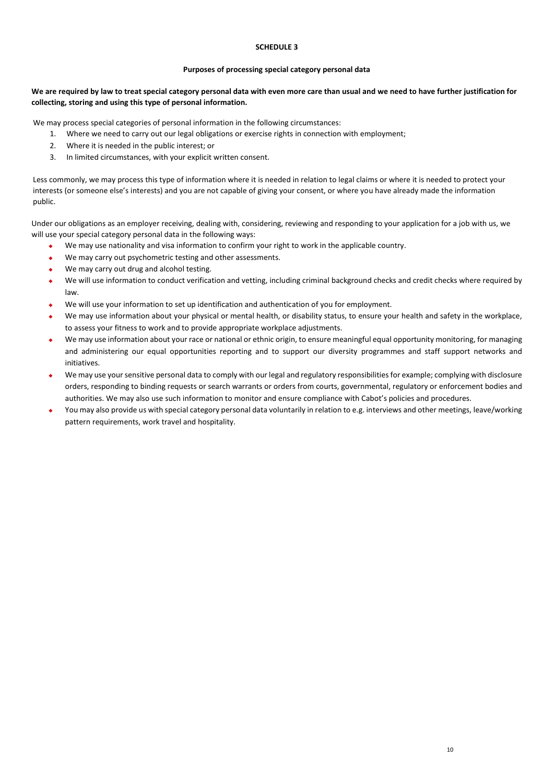## **SCHEDULE 3**

#### **Purposes of processing special category personal data**

# **We are required by law to treat special category personal data with even more care than usual and we need to have further justification for collecting, storing and using this type of personal information.**

We may process special categories of personal information in the following circumstances:

- 1. Where we need to carry out our legal obligations or exercise rights in connection with employment;
- 2. Where it is needed in the public interest; or
- 3. In limited circumstances, with your explicit written consent.

Less commonly, we may process this type of information where it is needed in relation to legal claims or where it is needed to protect your interests (or someone else's interests) and you are not capable of giving your consent, or where you have already made the information public.

Under our obligations as an employer receiving, dealing with, considering, reviewing and responding to your application for a job with us, we will use your special category personal data in the following ways:

- We may use nationality and visa information to confirm your right to work in the applicable country.
- We may carry out psychometric testing and other assessments.
- We may carry out drug and alcohol testing.
- We will use information to conduct verification and vetting, including criminal background checks and credit checks where required by law.
- We will use your information to set up identification and authentication of you for employment.
- We may use information about your physical or mental health, or disability status, to ensure your health and safety in the workplace, to assess your fitness to work and to provide appropriate workplace adjustments.
- We may use information about your race or national or ethnic origin, to ensure meaningful equal opportunity monitoring, for managing and administering our equal opportunities reporting and to support our diversity programmes and staff support networks and initiatives.
- We may use your sensitive personal data to comply with our legal and regulatory responsibilities for example; complying with disclosure orders, responding to binding requests or search warrants or orders from courts, governmental, regulatory or enforcement bodies and authorities. We may also use such information to monitor and ensure compliance with Cabot's policies and procedures.
- You may also provide us with special category personal data voluntarily in relation to e.g. interviews and other meetings, leave/working pattern requirements, work travel and hospitality.